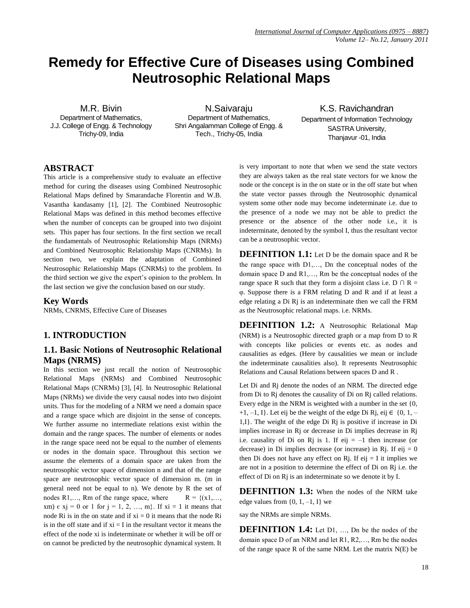# **Remedy for Effective Cure of Diseases using Combined Neutrosophic Relational Maps**

M.R. Bivin Department of Mathematics, J.J. College of Engg. & Technology Trichy-09, India

N.Saivaraju Department of Mathematics, Shri Angalamman College of Engg. & Tech., Trichy-05, India

K.S. Ravichandran Department of Information Technology SASTRA University, Thanjavur -01, India

### **ABSTRACT**

This article is a comprehensive study to evaluate an effective method for curing the diseases using Combined Neutrosophic Relational Maps defined by Smarandache Florentin and W.B. Vasantha kandasamy [1], [2]. The Combined Neutrosophic Relational Maps was defined in this method becomes effective when the number of concepts can be grouped into two disjoint sets. This paper has four sections. In the first section we recall the fundamentals of Neutrosophic Relationship Maps (NRMs) and Combined Neutrosophic Relationship Maps (CNRMs). In section two, we explain the adaptation of Combined Neutrosophic Relationship Maps (CNRMs) to the problem. In the third section we give the expert"s opinion to the problem. In the last section we give the conclusion based on our study.

### **Key Words**

NRMs, CNRMS, Effective Cure of Diseases

### **1. INTRODUCTION**

### **1.1. Basic Notions of Neutrosophic Relational Maps (NRMS)**

In this section we just recall the notion of Neutrosophic Relational Maps (NRMs) and Combined Neutrosophic Relational Maps (CNRMs) [3], [4]. In Neutrosophic Relational Maps (NRMs) we divide the very causal nodes into two disjoint units. Thus for the modeling of a NRM we need a domain space and a range space which are disjoint in the sense of concepts. We further assume no intermediate relations exist within the domain and the range spaces. The number of elements or nodes in the range space need not be equal to the number of elements or nodes in the domain space. Throughout this section we assume the elements of a domain space are taken from the neutrosophic vector space of dimension n and that of the range space are neutrosophic vector space of dimension m. (m in general need not be equal to n). We denote by R the set of nodes R1,..., Rm of the range space, where  $R = \{(x1, \ldots, x)\}$ xm)  $\epsilon$  xj = 0 or 1 for j = 1, 2, ..., m}. If xi = 1 it means that node Ri is in the on state and if  $xi = 0$  it means that the node Ri is in the off state and if  $xi = I$  in the resultant vector it means the effect of the node xi is indeterminate or whether it will be off or on cannot be predicted by the neutrosophic dynamical system. It is very important to note that when we send the state vectors they are always taken as the real state vectors for we know the node or the concept is in the on state or in the off state but when the state vector passes through the Neutrosophic dynamical system some other node may become indeterminate i.e. due to the presence of a node we may not be able to predict the presence or the absence of the other node i.e., it is indeterminate, denoted by the symbol I, thus the resultant vector can be a neutrosophic vector.

**DEFINITION 1.1:** Let D be the domain space and R be the range space with D1,…, Dn the conceptual nodes of the domain space D and R1,…, Rm be the conceptual nodes of the range space R such that they form a disjoint class i.e. D  $\cap$  R = φ. Suppose there is a FRM relating D and R and if at least a edge relating a Di Rj is an indeterminate then we call the FRM as the Neutrosophic relational maps. i.e. NRMs.

**DEFINITION 1.2:** A Neutrosophic Relational Map (NRM) is a Neutrosophic directed graph or a map from D to R with concepts like policies or events etc. as nodes and causalities as edges. (Here by causalities we mean or include the indeterminate causalities also). It represents Neutrosophic Relations and Causal Relations between spaces D and R .

Let Di and Rj denote the nodes of an NRM. The directed edge from Di to Rj denotes the causality of Di on Rj called relations. Every edge in the NRM is weighted with a number in the set {0, +1, -1, I}. Let eij be the weight of the edge Di Rj, eij  $\in \{0, 1, -1\}$ 1,I}. The weight of the edge Di Rj is positive if increase in Di implies increase in Rj or decrease in Di implies decrease in Rj i.e. causality of Di on Rj is 1. If eij  $= -1$  then increase (or decrease) in Di implies decrease (or increase) in Rj. If  $eij = 0$ then Di does not have any effect on Rj. If eij  $=$  I it implies we are not in a position to determine the effect of Di on Rj i.e. the effect of Di on Rj is an indeterminate so we denote it by I.

**DEFINITION 1.3:** When the nodes of the NRM take edge values from  $\{0, 1, -1, I\}$  we

say the NRMs are simple NRMs.

**DEFINITION 1.4:** Let D1, ..., Dn be the nodes of the domain space D of an NRM and let R1, R2,…, Rm be the nodes of the range space R of the same NRM. Let the matrix N(E) be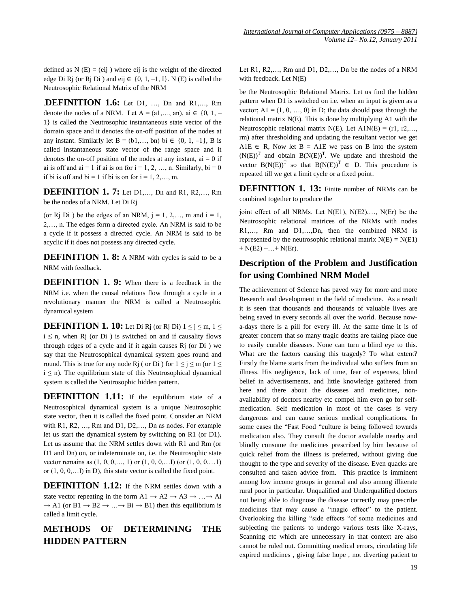defined as  $N(E) = (eij)$  where eij is the weight of the directed edge Di Rj (or Rj Di) and eij  $\in \{0, 1, -1, I\}$ . N (E) is called the Neutrosophic Relational Matrix of the NRM

.**DEFINITION 1.6:** Let D1, …, Dn and R1,…, Rm denote the nodes of a NRM. Let  $A = (a_1, \ldots, a_n)$ ,  $ai \in \{0, 1, -1\}$ 1} is called the Neutrosophic instantaneous state vector of the domain space and it denotes the on-off position of the nodes at any instant. Similarly let B =  $(b1,..., bn)$  bi  $\in \{0, 1, -1\}$ , B is called instantaneous state vector of the range space and it denotes the on-off position of the nodes at any instant,  $ai = 0$  if ai is off and ai = 1 if ai is on for  $i = 1, 2, ..., n$ . Similarly, bi = 0 if bi is off and bi = 1 if bi is on for  $i = 1, 2, \ldots, m$ .

**DEFINITION 1. 7:** Let D1,..., Dn and R1, R2,..., Rm be the nodes of a NRM. Let Di Rj

(or Rj Di) be the edges of an NRM,  $j = 1, 2, \ldots, m$  and  $i = 1$ , 2,…, n. The edges form a directed cycle. An NRM is said to be a cycle if it possess a directed cycle. An NRM is said to be acyclic if it does not possess any directed cycle.

**DEFINITION 1. 8:** A NRM with cycles is said to be a NRM with feedback.

**DEFINITION 1. 9:** When there is a feedback in the NRM i.e. when the causal relations flow through a cycle in a revolutionary manner the NRM is called a Neutrosophic dynamical system

**DEFINITION 1. 10:** Let Di Rj (or Rj Di)  $1 \le i \le m$ ,  $1 \le$  $i \leq n$ , when R<sub>j</sub> (or D<sub>i</sub>) is switched on and if causality flows through edges of a cycle and if it again causes Rj (or Di ) we say that the Neutrosophical dynamical system goes round and round. This is true for any node Rj ( or Di ) for  $1 \le j \le m$  (or  $1 \le$  $i \leq n$ ). The equilibrium state of this Neutrosophical dynamical system is called the Neutrosophic hidden pattern.

**DEFINITION 1.11:** If the equilibrium state of a Neutrosophical dynamical system is a unique Neutrosophic state vector, then it is called the fixed point. Consider an NRM with R1, R2, …, Rm and D1, D2,…, Dn as nodes. For example let us start the dynamical system by switching on R1 (or D1). Let us assume that the NRM settles down with R1 and Rm (or D1 and Dn) on, or indeterminate on, i.e. the Neutrosophic state vector remains as  $(1, 0, 0, \ldots, 1)$  or  $(1, 0, 0, \ldots)$  (or  $(1, 0, 0, \ldots)$ ) or  $(1, 0, 0, \ldots I)$  in D), this state vector is called the fixed point.

**DEFINITION 1.12:** If the NRM settles down with a state vector repeating in the form  $A1 \rightarrow A2 \rightarrow A3 \rightarrow ... \rightarrow Ai$  $\rightarrow$  A1 (or B1  $\rightarrow$  B2  $\rightarrow$  ...  $\rightarrow$  Bi  $\rightarrow$  B1) then this equilibrium is called a limit cycle.

# **METHODS OF DETERMINING THE HIDDEN PATTERN**

Let R1, R2,…, Rm and D1, D2,…, Dn be the nodes of a NRM with feedback. Let N(E)

be the Neutrosophic Relational Matrix. Let us find the hidden pattern when D1 is switched on i.e. when an input is given as a vector;  $A1 = (1, 0, ..., 0)$  in D; the data should pass through the relational matrix N(E). This is done by multiplying A1 with the Neutrosophic relational matrix N(E). Let  $A1N(E) = (r1, r2,...,$ rm) after thresholding and updating the resultant vector we get A1E  $\in$  R, Now let B = A1E we pass on B into the system  $(N(E))^T$  and obtain  $B(N(E))^T$ . We update and threshold the vector  $B(N(E))^T$  so that  $B(N(E))^T \in D$ . This procedure is repeated till we get a limit cycle or a fixed point.

**DEFINITION 1. 13:** Finite number of NRMs can be combined together to produce the

joint effect of all NRMs. Let N(E1), N(E2),…, N(Er) be the Neutrosophic relational matrices of the NRMs with nodes R1,…, Rm and D1,…,Dn, then the combined NRM is represented by the neutrosophic relational matrix  $N(E) = N(E1)$  $+ N(E2) + ... + N(Er)$ .

## **Description of the Problem and Justification for using Combined NRM Model**

The achievement of Science has paved way for more and more Research and development in the field of medicine. As a result it is seen that thousands and thousands of valuable lives are being saved in every seconds all over the world. Because nowa-days there is a pill for every ill. At the same time it is of greater concern that so many tragic deaths are taking place due to easily curable diseases. None can turn a blind eye to this. What are the factors causing this tragedy? To what extent? Firstly the blame starts from the individual who suffers from an illness. His negligence, lack of time, fear of expenses, blind belief in advertisements, and little knowledge gathered from here and there about the diseases and medicines, nonavailability of doctors nearby etc compel him even go for selfmedication. Self medication in most of the cases is very dangerous and can cause serious medical complications. In some cases the "Fast Food "culture is being followed towards medication also. They consult the doctor available nearby and blindly consume the medicines prescribed by him because of quick relief from the illness is preferred, without giving due thought to the type and severity of the disease. Even quacks are consulted and taken advice from. This practice is imminent among low income groups in general and also among illiterate rural poor in particular. Unqualified and Underqualified doctors not being able to diagnose the disease correctly may prescribe medicines that may cause a "magic effect" to the patient. Overlooking the killing "side effects "of some medicines and subjecting the patients to undergo various tests like X-rays, Scanning etc which are unnecessary in that context are also cannot be ruled out. Committing medical errors, circulating life expired medicines , giving false hope , not diverting patient to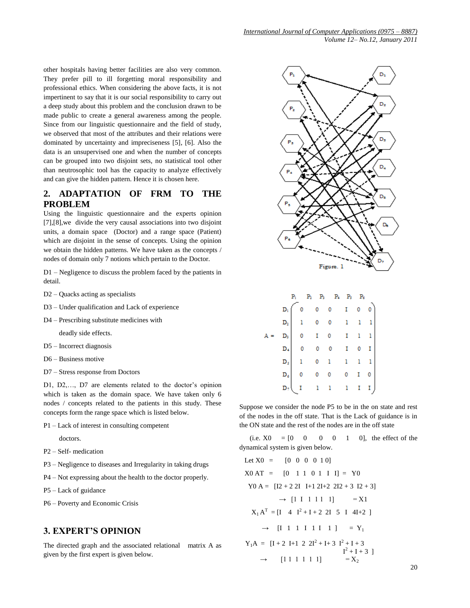other hospitals having better facilities are also very common. They prefer pill to ill forgetting moral responsibility and professional ethics. When considering the above facts, it is not impertinent to say that it is our social responsibility to carry out a deep study about this problem and the conclusion drawn to be made public to create a general awareness among the people. Since from our linguistic questionnaire and the field of study, we observed that most of the attributes and their relations were dominated by uncertainty and impreciseness [5], [6]. Also the data is an unsupervised one and when the number of concepts can be grouped into two disjoint sets, no statistical tool other than neutrosophic tool has the capacity to analyze effectively and can give the hidden pattern. Hence it is chosen here.

### **2. ADAPTATION OF FRM TO THE PROBLEM**

Using the linguistic questionnaire and the experts opinion [7],[8],we divide the very causal associations into two disjoint units, a domain space (Doctor) and a range space (Patient) which are disjoint in the sense of concepts. Using the opinion we obtain the hidden patterns. We have taken as the concepts / nodes of domain only 7 notions which pertain to the Doctor.

D1 – Negligence to discuss the problem faced by the patients in detail.

- D2 Quacks acting as specialists
- D3 Under qualification and Lack of experience
- D4 Prescribing substitute medicines with

deadly side effects.

- D5 Incorrect diagnosis
- D6 Business motive
- D7 Stress response from Doctors

D1, D2,..., D7 are elements related to the doctor's opinion which is taken as the domain space. We have taken only 6 nodes / concepts related to the patients in this study. These concepts form the range space which is listed below.

P1 – Lack of interest in consulting competent

doctors.

- P2 Self- medication
- P3 Negligence to diseases and Irregularity in taking drugs
- P4 Not expressing about the health to the doctor properly.
- P5 Lack of guidance
- P6 Poverty and Economic Crisis

### **3. EXPERT'S OPINION**

The directed graph and the associated relational matrix A as given by the first expert is given below.



Α

Suppose we consider the node P5 to be in the on state and rest of the nodes in the off state. That is the Lack of guidance is in the ON state and the rest of the nodes are in the off state

(i.e.  $X0 = [0 \ 0 \ 0 \ 0 \ 1 \ 0]$ , the effect of the dynamical system is given below.

Let X0 = [0 0 0 0 1 0]  
\nX0 AT = [0 1 1 0 1 I I] = Y0  
\nY0 A = [I2 + 2 2I I+12I+2 2I2 + 3 I2 + 3]  
\n
$$
\rightarrow
$$
 [1 I 1 1 1 1] = X1  
\n $X_1 A^T$  = [I 4 I<sup>2</sup>+I+2 2I 5 I 4I+2]  
\n $\rightarrow$  [I 1 1 I 1 I 1] = Y<sub>1</sub>  
\n $Y_1 A$  = [I+2 I+1 2 2I<sup>2</sup>+I+3 I<sup>2</sup>+I+3  
\nI<sup>2</sup>+I+3 ]  
\n $\rightarrow$  [1 1 1 1 1 1] = X<sub>2</sub>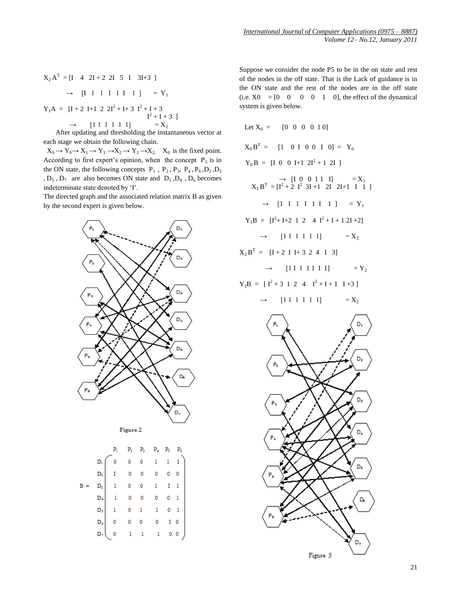$$
X_2 A^T = [I \ 4 \ 2I + 2 \ 2I \ 5 \ I \ 3I + 3 ]
$$
  
\n
$$
\rightarrow [I \ 1 \ 1 \ 1 \ 1 \ 1 \ 1 \ ] = Y_1
$$
  
\n
$$
Y_1 A = [I + 2 \ I + 1 \ 2 \ 2I^2 + I + 3 \ I^2 + I + 3]
$$

$$
I^2 + I + 3 \quad | \rightarrow [11 \ 1 \ 1 \ 1 \ 1 \ 1] \qquad = X_2
$$

 After updating and thresholding the instantaneous vector at each stage we obtain the following chain.

 $X_0 \to Y_0 \to X_1 \to Y_1 \to X_2 \to Y_1 \to X_2$ ,  $X_0$  is the fixed point. According to first expert's opinion, when the concept  $P_5$  is in the ON state, the following concepts  $P_1$ ,  $P_2$ ,  $P_3$ ,  $P_4$ ,  $P_6$ ,  $D_2$ ,  $D_3$  $, D_5, D_7$  are also becomes ON state and  $D_1, D_4, D_6$  becomes indeterminate state denoted by 'I'.

The directed graph and the associated relation matrix B as given by the second expert is given below.



Figure 2

|  | $\begin{array}{cccccc} & & & & \\ & P_1 & P_2 & P_3 & P_4 & P_5 & P_6 \\ & 0 & 0 & 0 & 1 & 1 & 1 \\ & 1 & 0 & 0 & 0 & 0 & 0 \\ & 1 & 0 & 0 & 1 & 1 & 1 \\ & 1 & 0 & 0 & 1 & 1 & 1 \\ & 1 & 0 & 0 & 0 & 0 & 1 \\ & 1 & 0 & 1 & 1 & 0 & 1 \\ & 1 & 0 & 1 & 1 & 0 & 1 \\ & 1 & 0 & 0 & 0 & 0 & 1 & 0 \\ & 0 & 0 & 0 & 0 & 1 & 0 & 0 \\ & 0 & $ |  |  |  |
|--|---------------------------------------------------------------------------------------------------------------------------------------------------------------------------------------------------------------------------------------------------------------------------------------------------------------------------------------------|--|--|--|

Suppose we consider the node P5 to be in the on state and rest of the nodes in the off state. That is the Lack of guidance is in the ON state and the rest of the nodes are in the off state (i.e.  $X0 = [0 \ 0 \ 0 \ 0 \ 1 \ 0]$ , the effect of the dynamical system is given below.

Let 
$$
X_0 = [0 \ 0 \ 0 \ 0 \ 1 \ 0]
$$
  
\n $X_0 B^T = [1 \ 0 \ 1 \ 0 \ 0 \ 1 \ 0] = Y_0$   
\n $Y_0 B = [I \ 0 \ 0 \ 1 + 1 \ 2I^2 + 1 \ 2I]$   
\n $X_1 B^T = [I^2 + 2 \ 1^2 \ 3I + 1 \ 2I \ 2I + 1 \ 1 \ 1 \ 1]$   
\n $\rightarrow [1 \ 1 \ 1 \ 1 \ 1 \ 1 \ 1] = Y_1$   
\n $Y_1 B = [I^2 + I + 2 \ 1 \ 2 \ 4 \ 1^2 + I + 1 \ 2I + 2]$   
\n $\rightarrow [11 \ 1 \ 1 \ 1 \ 1] = X_2$   
\n $X_2 B^T = [I + 2 \ I + 3 \ 2 \ 4 \ 1 \ 3]$   
\n $\rightarrow [11 \ 1 \ 1 \ 1 \ 1] = X_2$   
\n $Y_2 B = [I^2 + 3 \ 1 \ 2 \ 4 \ 1^2 + I + 1 \ 1 + 3]$   
\n $\rightarrow [11 \ 1 \ 1 \ 1] = X_2$   
\n $P_1$   
\n $P_2$   
\n $P_3$   
\n $P_4$   
\n $P_5$   
\n $P_6$   
\n $P_7$   
\n $P_8$   
\n $P_9$   
\n $P_1$   
\n $P_2$   
\n $P_3$   
\n $P_4$   
\n $P_5$   
\n $P_6$   
\n $P_7$   
\n $P_8$   
\n $P_9$   
\n $P_9$   
\n $P_9$   
\n $P_1$   
\n $P_2$   
\n $P_3$   
\n $P_4$   
\n $P_5$   
\n $P_6$   
\n $P_7$   
\n $P_8$   
\n $P_9$   
\n $P_9$   
\n $P_9$   
\n $P_9$ 

Figure 3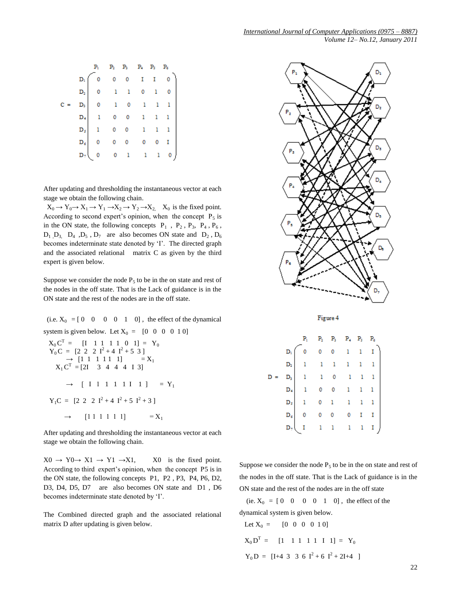|  | $\begin{array}{c ccccccccc} & & & & & & & \\ & P_1 & & P_2 & & P_3 & & P_4 & & P_3 & & P_6 \\ & & 0 & & 0 & & 0 & & 1 & & 1 & & 0 \\ & & 0 & & 1 & & 1 & & 0 & & 1 & & 0 \\ & & 0 & & 1 & & 0 & & 1 & & 1 & & 1 \\ & & 0 & & 0 & & 1 & & 1 & & 1 & & 1 \\ & & 1 & & 0 & & 0 & & 1 & & 1 & & 1 \\ & & 1 & & 0 & & 0 & & 1 & & 1 & & 1 \\ & & 1 & & 0 & & 0 & & 0 & & 0 &$ |  |  |  |
|--|--------------------------------------------------------------------------------------------------------------------------------------------------------------------------------------------------------------------------------------------------------------------------------------------------------------------------------------------------------------------------|--|--|--|

After updating and thresholding the instantaneous vector at each stage we obtain the following chain.

 $X_0 \to Y_0 \to X_1 \to Y_1 \to X_2 \to Y_2 \to X_2$ ,  $X_0$  is the fixed point. According to second expert's opinion, when the concept  $P_5$  is in the ON state, the following concepts  $P_1$ ,  $P_2$ ,  $P_3$ ,  $P_4$ ,  $P_6$ ,  $D_1$ ,  $D_3$ ,  $D_4$ ,  $D_5$ ,  $D_7$  are also becomes ON state and  $D_2$ ,  $D_6$ becomes indeterminate state denoted by 'I'. The directed graph and the associated relational matrix C as given by the third expert is given below.

Suppose we consider the node  $P_5$  to be in the on state and rest of the nodes in the off state. That is the Lack of guidance is in the ON state and the rest of the nodes are in the off state.

(i.e.  $X_0 = [0 \ 0 \ 0 \ 0 \ 1 \ 0]$ , the effect of the dynamical system is given below. Let  $X_0 = [0 \ 0 \ 0 \ 0 \ 1 \ 0]$ 

$$
X_0 C^T = [I \t 1 \t 1 \t 1 \t 1 \t 0 \t 1] = Y_0
$$
  
\n
$$
Y_0 C = [2 \t 2 \t 2 \t 1^2 + 4 \t 1^2 + 5 \t 3]
$$
  
\n
$$
\rightarrow [1 \t 1 \t 1 \t 1 \t 1 \t 1] = X_1
$$
  
\n
$$
X_1 C^T = [2I \t 3 \t 4 \t 4 \t 1 \t 3]
$$
  
\n
$$
\rightarrow [I \t 1 \t 1 \t 1 \t 1 \t 1 \t 1] = Y_1
$$
  
\n
$$
Y_1 C = [2 \t 2 \t 2 \t 1^2 + 4 \t 1^2 + 5 \t 1^2 + 3]
$$
  
\n
$$
\rightarrow [1 \t 1 \t 1 \t 1 \t 1 \t 1] = X_1
$$

After updating and thresholding the instantaneous vector at each stage we obtain the following chain.

 $X0 \rightarrow Y0 \rightarrow X1 \rightarrow Y1 \rightarrow X1$ ,  $X0$  is the fixed point. According to third expert's opinion, when the concept P5 is in the ON state, the following concepts P1, P2 , P3, P4, P6, D2, D3, D4, D5, D7 are also becomes ON state and D1 , D6 becomes indeterminate state denoted by "I".

The Combined directed graph and the associated relational matrix D after updating is given below.



Figure 4

Suppose we consider the node  $P_5$  to be in the on state and rest of the nodes in the off state. That is the Lack of guidance is in the ON state and the rest of the nodes are in the off state

(ie.  $X_0 = [0 \ 0 \ 0 \ 0 \ 1 \ 0]$ , the effect of the dynamical system is given below.

Let 
$$
X_0 = [0 \ 0 \ 0 \ 0 \ 1 \ 0]
$$
  
\n $X_0 D^T = [1 \ 1 \ 1 \ 1 \ 1 \ 1 \ 1] = Y_0$   
\n $Y_0 D = [I+4 \ 3 \ 3 \ 6 \ I^2 + 6 \ I^2 + 2I+4]$